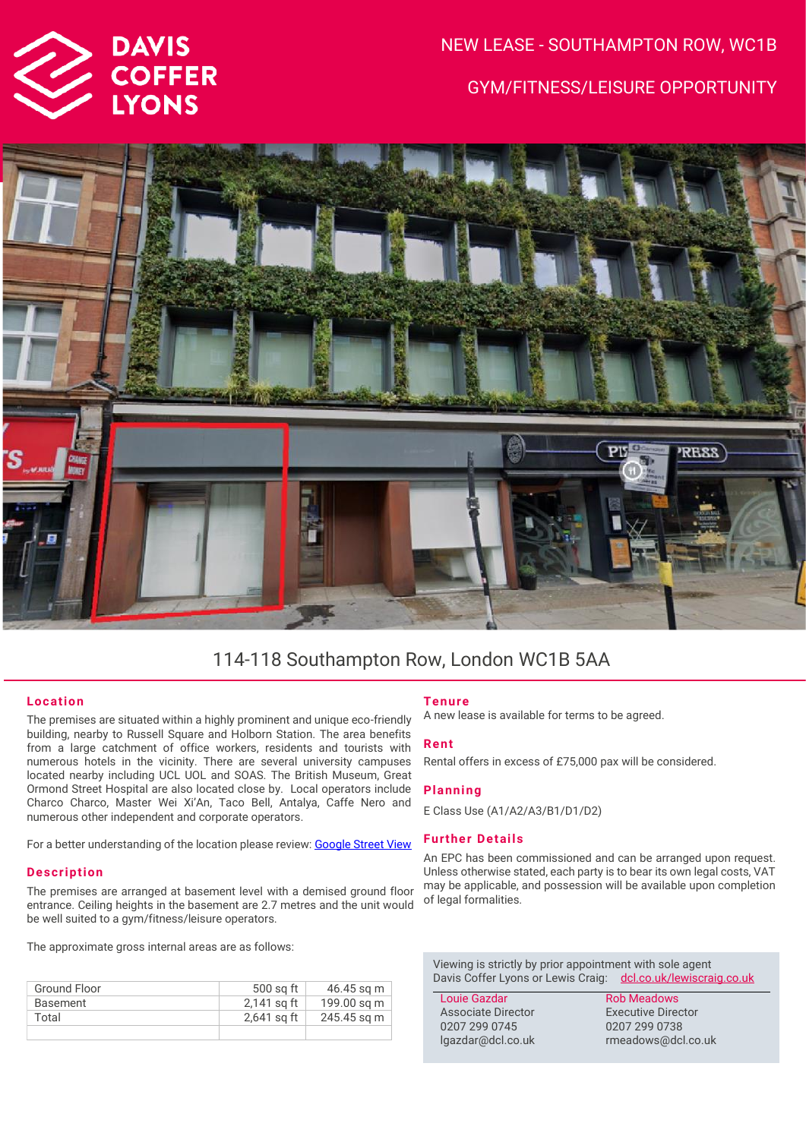

# NEW LEASE - SOUTHAMPTON ROW, WC1B GYM/FITNESS/LEISURE OPPORTUNITY



# 114-118 Southampton Row, London WC1B 5AA

# **Location**

The premises are situated within a highly prominent and unique eco-friendly building, nearby to Russell Square and Holborn Station. The area benefits from a large catchment of office workers, residents and tourists with numerous hotels in the vicinity. There are several university campuses located nearby including UCL UOL and SOAS. The British Museum, Great Ormond Street Hospital are also located close by. Local operators include Charco Charco, Master Wei Xi'An, Taco Bell, Antalya, Caffe Nero and numerous other independent and corporate operators.

For a better understanding of the location please review[: Google Street View](https://www.google.com/maps/place/114-118+Southampton+Row,+London+WC1B+5AA/@51.520493,-0.1229034,3a,75y,60.6h,90t/data=!3m7!1e1!3m5!1s9cH_P5xQTHQ_ILpnvqGBSQ!2e0!6shttps:%2F%2Fstreetviewpixels-pa.googleapis.com%2Fv1%2Fthumbnail%3Fpanoid%3D9cH_P5xQTHQ_ILpnvqGBSQ%26cb_client%3Dsearch.gws-prod.gps%26w%3D86%26h%3D86%26yaw%3D60.601677%26pitch%3D0%26thumbfov%3D100!7i16384!8i8192!4m5!3m4!1s0x48761b36a5896595:0x575162877eea0f3b!8m2!3d51.5205803!4d-0.122664)

### **Description**

The premises are arranged at basement level with a demised ground floor entrance. Ceiling heights in the basement are 2.7 metres and the unit would be well suited to a gym/fitness/leisure operators.

The approximate gross internal areas are as follows:

| Ground Floor | 500 sq ft     | 46.45 sq m  |
|--------------|---------------|-------------|
| Basement     | 2,141 sq ft   | 199.00 sq m |
| Total        | $2,641$ sq ft | 245.45 sq m |
|              |               |             |

# **Tenure**

A new lease is available for terms to be agreed.

### **Rent**

Rental offers in excess of £75,000 pax will be considered.

## **Planning**

E Class Use (A1/A2/A3/B1/D1/D2)

# **Further Details**

An EPC has been commissioned and can be arranged upon request. Unless otherwise stated, each party is to bear its own legal costs, VAT may be applicable, and possession will be available upon completion of legal formalities.

Viewing is strictly by prior appointment with sole agent Davis Coffer Lyons or Lewis Craig: [dcl.co.uk/](http://www.dcl.co.uk/)lewiscraig.co.uk

Louie Gazdar Associate Director 0207 299 0745 lgazdar@dcl.co.uk

Rob Meadows Executive Director 0207 299 0738 rmeadows@dcl.co.uk